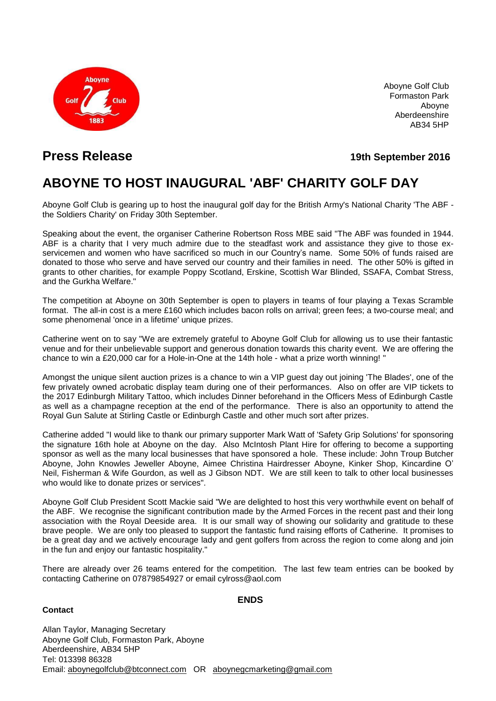

Aboyne Golf Club Formaston Park Aboyne Aberdeenshire AB34 5HP

**Press Release 19th September 2016**

## **ABOYNE TO HOST INAUGURAL 'ABF' CHARITY GOLF DAY**

Aboyne Golf Club is gearing up to host the inaugural golf day for the British Army's National Charity 'The ABF the Soldiers Charity' on Friday 30th September.

Speaking about the event, the organiser Catherine Robertson Ross MBE said "The ABF was founded in 1944. ABF is a charity that I very much admire due to the steadfast work and assistance they give to those exservicemen and women who have sacrificed so much in our Country's name. Some 50% of funds raised are donated to those who serve and have served our country and their families in need. The other 50% is gifted in grants to other charities, for example Poppy Scotland, Erskine, Scottish War Blinded, SSAFA, Combat Stress, and the Gurkha Welfare."

The competition at Aboyne on 30th September is open to players in teams of four playing a Texas Scramble format. The all-in cost is a mere £160 which includes bacon rolls on arrival; green fees; a two-course meal; and some phenomenal 'once in a lifetime' unique prizes.

Catherine went on to say "We are extremely grateful to Aboyne Golf Club for allowing us to use their fantastic venue and for their unbelievable support and generous donation towards this charity event. We are offering the chance to win a £20,000 car for a Hole-in-One at the 14th hole - what a prize worth winning! "

Amongst the unique silent auction prizes is a chance to win a VIP guest day out joining 'The Blades', one of the few privately owned acrobatic display team during one of their performances. Also on offer are VIP tickets to the 2017 Edinburgh Military Tattoo, which includes Dinner beforehand in the Officers Mess of Edinburgh Castle as well as a champagne reception at the end of the performance. There is also an opportunity to attend the Royal Gun Salute at Stirling Castle or Edinburgh Castle and other much sort after prizes.

Catherine added "I would like to thank our primary supporter Mark Watt of 'Safety Grip Solutions' for sponsoring the signature 16th hole at Aboyne on the day. Also McIntosh Plant Hire for offering to become a supporting sponsor as well as the many local businesses that have sponsored a hole. These include: John Troup Butcher Aboyne, John Knowles Jeweller Aboyne, Aimee Christina Hairdresser Aboyne, Kinker Shop, Kincardine O' Neil, Fisherman & Wife Gourdon, as well as J Gibson NDT. We are still keen to talk to other local businesses who would like to donate prizes or services".

Aboyne Golf Club President Scott Mackie said "We are delighted to host this very worthwhile event on behalf of the ABF. We recognise the significant contribution made by the Armed Forces in the recent past and their long association with the Royal Deeside area. It is our small way of showing our solidarity and gratitude to these brave people. We are only too pleased to support the fantastic fund raising efforts of Catherine. It promises to be a great day and we actively encourage lady and gent golfers from across the region to come along and join in the fun and enjoy our fantastic hospitality."

There are already over 26 teams entered for the competition. The last few team entries can be booked by contacting Catherine on 07879854927 or email cylross@aol.com

## **Contact**

**ENDS**

Allan Taylor, Managing Secretary Aboyne Golf Club, Formaston Park, Aboyne Aberdeenshire, AB34 5HP Tel: 013398 86328 Email: [aboynegolfclub@btconnect.com](mailto:aboynegolfclub@btconnect.com) OR [aboynegcmarketing@gmail.com](mailto:aboynegcmarketing@gmail.com)